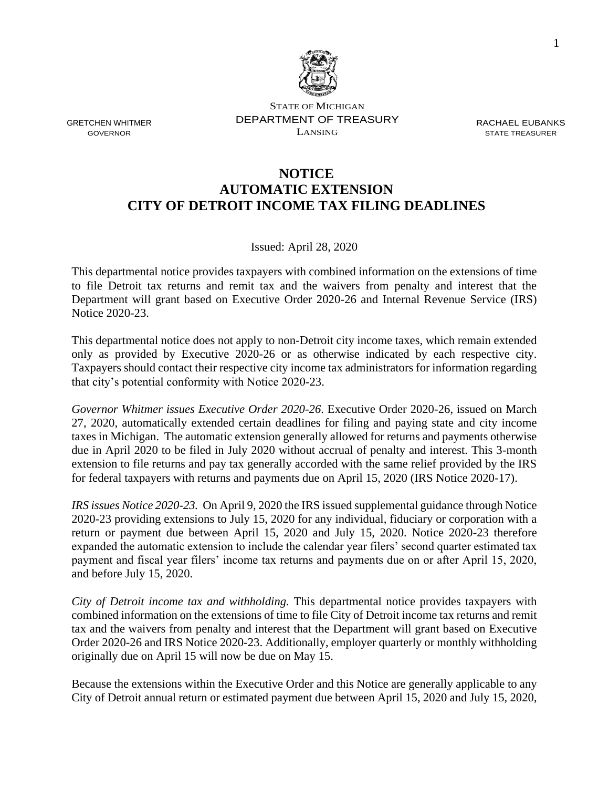

STATE OF MICHIGAN DEPARTMENT OF TREASURY LANSING

RACHAEL EUBANKS STATE TREASURER

### **NOTICE AUTOMATIC EXTENSION CITY OF DETROIT INCOME TAX FILING DEADLINES**

Issued: April 28, 2020

This departmental notice provides taxpayers with combined information on the extensions of time to file Detroit tax returns and remit tax and the waivers from penalty and interest that the Department will grant based on Executive Order 2020-26 and Internal Revenue Service (IRS) Notice 2020-23.

This departmental notice does not apply to non-Detroit city income taxes, which remain extended only as provided by Executive 2020-26 or as otherwise indicated by each respective city. Taxpayers should contact their respective city income tax administrators for information regarding that city's potential conformity with Notice 2020-23.

*Governor Whitmer issues Executive Order 2020-26*. Executive Order 2020-26, issued on March 27, 2020, automatically extended certain deadlines for filing and paying state and city income taxes in Michigan. The automatic extension generally allowed for returns and payments otherwise due in April 2020 to be filed in July 2020 without accrual of penalty and interest. This 3-month extension to file returns and pay tax generally accorded with the same relief provided by the IRS for federal taxpayers with returns and payments due on April 15, 2020 (IRS Notice 2020-17).

*IRS issues Notice 2020-23.* On April 9, 2020 the IRS issued supplemental guidance through Notice 2020-23 providing extensions to July 15, 2020 for any individual, fiduciary or corporation with a return or payment due between April 15, 2020 and July 15, 2020. Notice 2020-23 therefore expanded the automatic extension to include the calendar year filers' second quarter estimated tax payment and fiscal year filers' income tax returns and payments due on or after April 15, 2020, and before July 15, 2020.

*City of Detroit income tax and withholding.* This departmental notice provides taxpayers with combined information on the extensions of time to file City of Detroit income tax returns and remit tax and the waivers from penalty and interest that the Department will grant based on Executive Order 2020-26 and IRS Notice 2020-23. Additionally, employer quarterly or monthly withholding originally due on April 15 will now be due on May 15.

Because the extensions within the Executive Order and this Notice are generally applicable to any City of Detroit annual return or estimated payment due between April 15, 2020 and July 15, 2020,

GRETCHEN WHITMER GOVERNOR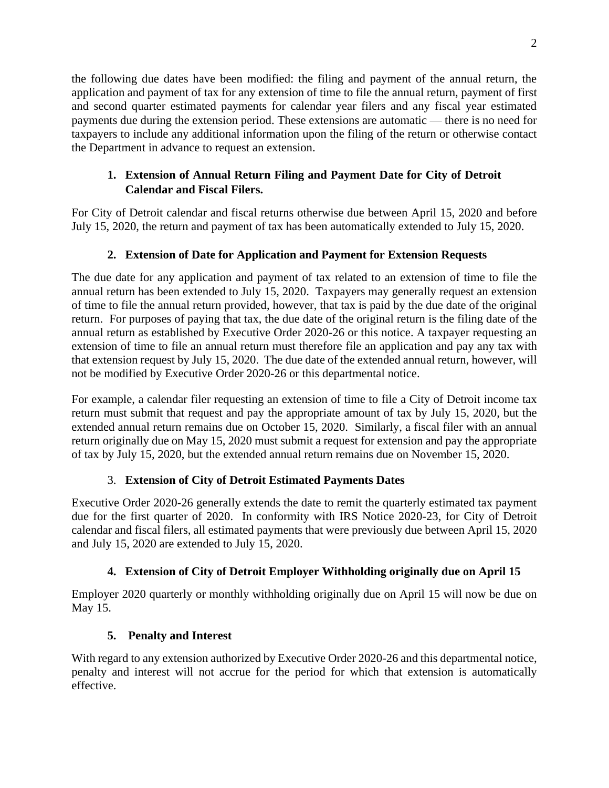the following due dates have been modified: the filing and payment of the annual return, the application and payment of tax for any extension of time to file the annual return, payment of first and second quarter estimated payments for calendar year filers and any fiscal year estimated payments due during the extension period. These extensions are automatic — there is no need for taxpayers to include any additional information upon the filing of the return or otherwise contact the Department in advance to request an extension.

### **1. Extension of Annual Return Filing and Payment Date for City of Detroit Calendar and Fiscal Filers.**

For City of Detroit calendar and fiscal returns otherwise due between April 15, 2020 and before July 15, 2020, the return and payment of tax has been automatically extended to July 15, 2020.

# **2. Extension of Date for Application and Payment for Extension Requests**

The due date for any application and payment of tax related to an extension of time to file the annual return has been extended to July 15, 2020. Taxpayers may generally request an extension of time to file the annual return provided, however, that tax is paid by the due date of the original return. For purposes of paying that tax, the due date of the original return is the filing date of the annual return as established by Executive Order 2020-26 or this notice. A taxpayer requesting an extension of time to file an annual return must therefore file an application and pay any tax with that extension request by July 15, 2020. The due date of the extended annual return, however, will not be modified by Executive Order 2020-26 or this departmental notice.

For example, a calendar filer requesting an extension of time to file a City of Detroit income tax return must submit that request and pay the appropriate amount of tax by July 15, 2020, but the extended annual return remains due on October 15, 2020. Similarly, a fiscal filer with an annual return originally due on May 15, 2020 must submit a request for extension and pay the appropriate of tax by July 15, 2020, but the extended annual return remains due on November 15, 2020.

#### 3. **Extension of City of Detroit Estimated Payments Dates**

Executive Order 2020-26 generally extends the date to remit the quarterly estimated tax payment due for the first quarter of 2020. In conformity with IRS Notice 2020-23, for City of Detroit calendar and fiscal filers, all estimated payments that were previously due between April 15, 2020 and July 15, 2020 are extended to July 15, 2020.

# **4. Extension of City of Detroit Employer Withholding originally due on April 15**

Employer 2020 quarterly or monthly withholding originally due on April 15 will now be due on May 15.

# **5. Penalty and Interest**

With regard to any extension authorized by Executive Order 2020-26 and this departmental notice, penalty and interest will not accrue for the period for which that extension is automatically effective.